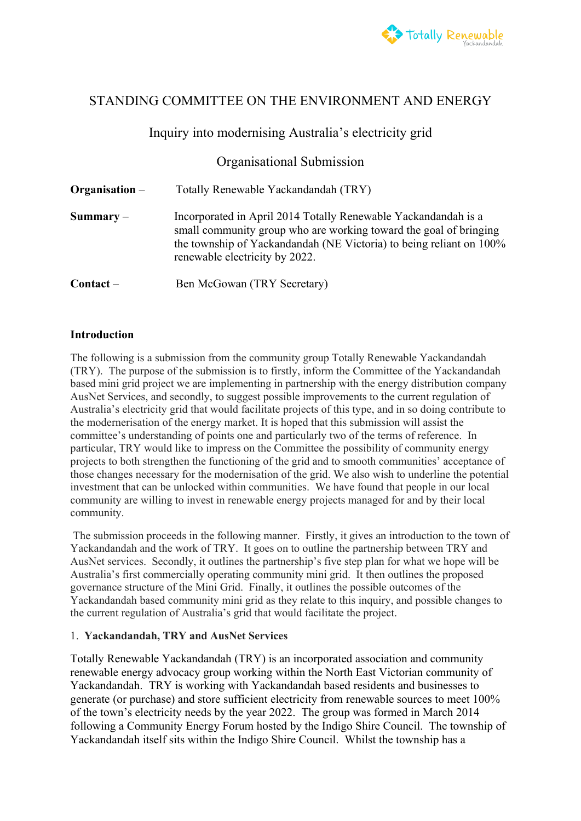

# STANDING COMMITTEE ON THE ENVIRONMENT AND ENERGY

## Inquiry into modernising Australia's electricity grid

# Organisational Submission

**Organisation** – Totally Renewable Yackandandah (TRY) **Summary** – Incorporated in April 2014 Totally Renewable Yackandandah is a small community group who are working toward the goal of bringing the township of Yackandandah (NE Victoria) to being reliant on 100% renewable electricity by 2022. Contact – Ben McGowan (TRY Secretary)

### **Introduction**

The following is a submission from the community group Totally Renewable Yackandandah (TRY). The purpose of the submission is to firstly, inform the Committee of the Yackandandah based mini grid project we are implementing in partnership with the energy distribution company AusNet Services, and secondly, to suggest possible improvements to the current regulation of Australia's electricity grid that would facilitate projects of this type, and in so doing contribute to the modernerisation of the energy market. It is hoped that this submission will assist the committee's understanding of points one and particularly two of the terms of reference. In particular, TRY would like to impress on the Committee the possibility of community energy projects to both strengthen the functioning of the grid and to smooth communities' acceptance of those changes necessary for the modernisation of the grid. We also wish to underline the potential investment that can be unlocked within communities. We have found that people in our local community are willing to invest in renewable energy projects managed for and by their local community.

 The submission proceeds in the following manner. Firstly, it gives an introduction to the town of Yackandandah and the work of TRY. It goes on to outline the partnership between TRY and AusNet services. Secondly, it outlines the partnership's five step plan for what we hope will be Australia's first commercially operating community mini grid. It then outlines the proposed governance structure of the Mini Grid. Finally, it outlines the possible outcomes of the Yackandandah based community mini grid as they relate to this inquiry, and possible changes to the current regulation of Australia's grid that would facilitate the project.

#### 1. **Yackandandah, TRY and AusNet Services**

Totally Renewable Yackandandah (TRY) is an incorporated association and community renewable energy advocacy group working within the North East Victorian community of Yackandandah. TRY is working with Yackandandah based residents and businesses to generate (or purchase) and store sufficient electricity from renewable sources to meet 100% of the town's electricity needs by the year 2022. The group was formed in March 2014 following a Community Energy Forum hosted by the Indigo Shire Council. The township of Yackandandah itself sits within the Indigo Shire Council. Whilst the township has a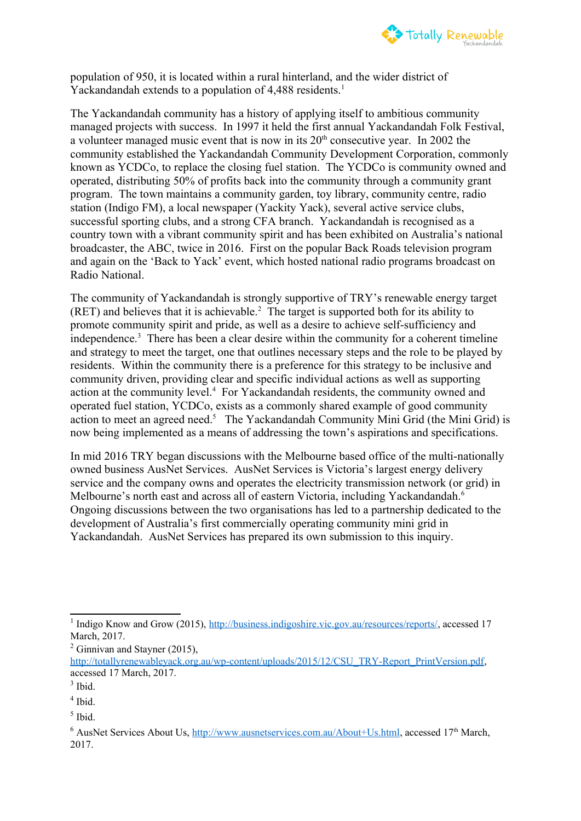

population of 950, it is located within a rural hinterland, and the wider district of Yackandandah extends to a population of 4,488 residents.<sup>[1](#page-1-0)</sup>

The Yackandandah community has a history of applying itself to ambitious community managed projects with success. In 1997 it held the first annual Yackandandah Folk Festival, a volunteer managed music event that is now in its  $20<sup>th</sup>$  consecutive year. In 2002 the community established the Yackandandah Community Development Corporation, commonly known as YCDCo, to replace the closing fuel station. The YCDCo is community owned and operated, distributing 50% of profits back into the community through a community grant program. The town maintains a community garden, toy library, community centre, radio station (Indigo FM), a local newspaper (Yackity Yack), several active service clubs, successful sporting clubs, and a strong CFA branch. Yackandandah is recognised as a country town with a vibrant community spirit and has been exhibited on Australia's national broadcaster, the ABC, twice in 2016. First on the popular Back Roads television program and again on the 'Back to Yack' event, which hosted national radio programs broadcast on Radio National.

The community of Yackandandah is strongly supportive of TRY's renewable energy target  $(RET)$  and believes that it is achievable.<sup>[2](#page-1-1)</sup> The target is supported both for its ability to promote community spirit and pride, as well as a desire to achieve self-sufficiency and independence.<sup>[3](#page-1-2)</sup> There has been a clear desire within the community for a coherent timeline and strategy to meet the target, one that outlines necessary steps and the role to be played by residents. Within the community there is a preference for this strategy to be inclusive and community driven, providing clear and specific individual actions as well as supporting action at the community level.<sup>[4](#page-1-3)</sup> For Yackandandah residents, the community owned and operated fuel station, YCDCo, exists as a commonly shared example of good community action to meet an agreed need.<sup>[5](#page-1-4)</sup> The Yackandandah Community Mini Grid (the Mini Grid) is now being implemented as a means of addressing the town's aspirations and specifications.

In mid 2016 TRY began discussions with the Melbourne based office of the multi-nationally owned business AusNet Services. AusNet Services is Victoria's largest energy delivery service and the company owns and operates the electricity transmission network (or grid) in Melbourne's north east and across all of eastern Victoria, including Yackandandah.<sup>[6](#page-1-5)</sup> Ongoing discussions between the two organisations has led to a partnership dedicated to the development of Australia's first commercially operating community mini grid in Yackandandah. AusNet Services has prepared its own submission to this inquiry.

<span id="page-1-0"></span><sup>&</sup>lt;sup>1</sup> Indigo Know and Grow (2015), [http://business.indigoshire.vic.gov.au/resources/reports/,](http://business.indigoshire.vic.gov.au/resources/reports/) accessed 17 March, 2017.

<span id="page-1-1"></span> $2$  Ginnivan and Stayner (2015), [http://totallyrenewableyack.org.au/wp-content/uploads/2015/12/CSU\\_TRY-Report\\_PrintVersion.pdf](http://totallyrenewableyack.org.au/wp-content/uploads/2015/12/CSU_TRY-Report_PrintVersion.pdf), accessed 17 March, 2017.

<span id="page-1-2"></span> $3$  Ibid.

<span id="page-1-3"></span><sup>4</sup> Ibid.

<span id="page-1-4"></span><sup>5</sup> Ibid.

<span id="page-1-5"></span><sup>&</sup>lt;sup>6</sup> AusNet Services About Us, [http://www.ausnetservices.com.au/About+Us.html,](http://www.ausnetservices.com.au/About+Us.html) accessed 17<sup>th</sup> March, 2017.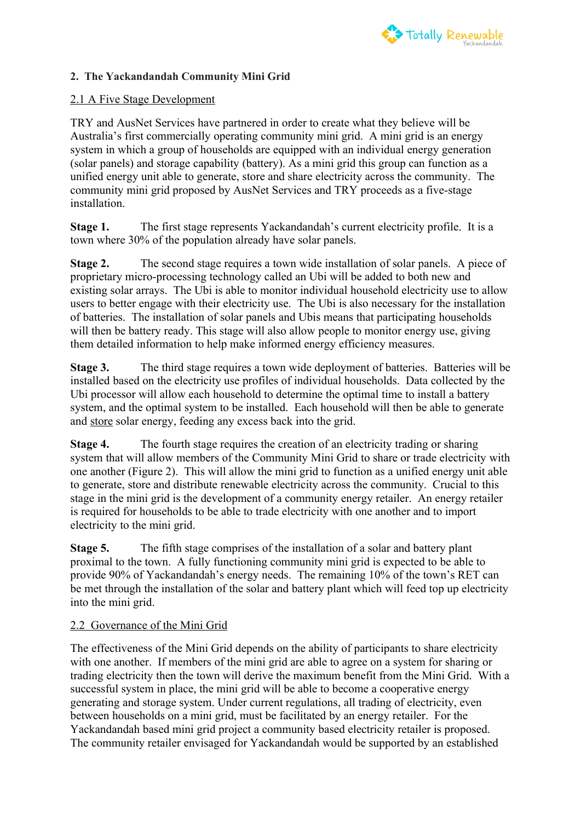

### **2. The Yackandandah Community Mini Grid**

#### 2.1 A Five Stage Development

TRY and AusNet Services have partnered in order to create what they believe will be Australia's first commercially operating community mini grid. A mini grid is an energy system in which a group of households are equipped with an individual energy generation (solar panels) and storage capability (battery). As a mini grid this group can function as a unified energy unit able to generate, store and share electricity across the community. The community mini grid proposed by AusNet Services and TRY proceeds as a five-stage installation.

**Stage 1.** The first stage represents Yackandandah's current electricity profile. It is a town where 30% of the population already have solar panels.

**Stage 2.** The second stage requires a town wide installation of solar panels. A piece of proprietary micro-processing technology called an Ubi will be added to both new and existing solar arrays. The Ubi is able to monitor individual household electricity use to allow users to better engage with their electricity use. The Ubi is also necessary for the installation of batteries. The installation of solar panels and Ubis means that participating households will then be battery ready. This stage will also allow people to monitor energy use, giving them detailed information to help make informed energy efficiency measures.

**Stage 3.** The third stage requires a town wide deployment of batteries. Batteries will be installed based on the electricity use profiles of individual households. Data collected by the Ubi processor will allow each household to determine the optimal time to install a battery system, and the optimal system to be installed. Each household will then be able to generate and store solar energy, feeding any excess back into the grid.

**Stage 4.** The fourth stage requires the creation of an electricity trading or sharing system that will allow members of the Community Mini Grid to share or trade electricity with one another (Figure 2). This will allow the mini grid to function as a unified energy unit able to generate, store and distribute renewable electricity across the community. Crucial to this stage in the mini grid is the development of a community energy retailer. An energy retailer is required for households to be able to trade electricity with one another and to import electricity to the mini grid.

**Stage 5.** The fifth stage comprises of the installation of a solar and battery plant proximal to the town. A fully functioning community mini grid is expected to be able to provide 90% of Yackandandah's energy needs. The remaining 10% of the town's RET can be met through the installation of the solar and battery plant which will feed top up electricity into the mini grid.

#### 2.2 Governance of the Mini Grid

The effectiveness of the Mini Grid depends on the ability of participants to share electricity with one another. If members of the mini grid are able to agree on a system for sharing or trading electricity then the town will derive the maximum benefit from the Mini Grid. With a successful system in place, the mini grid will be able to become a cooperative energy generating and storage system. Under current regulations, all trading of electricity, even between households on a mini grid, must be facilitated by an energy retailer. For the Yackandandah based mini grid project a community based electricity retailer is proposed. The community retailer envisaged for Yackandandah would be supported by an established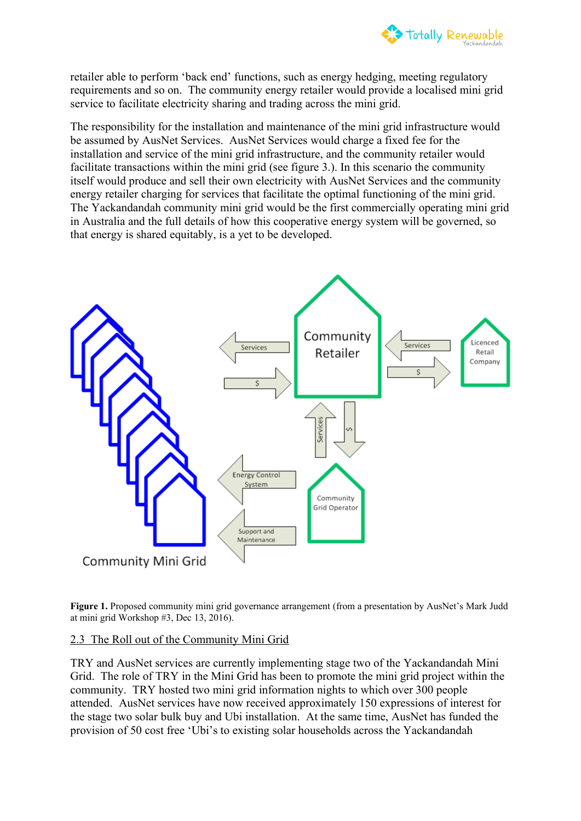

retailer able to perform 'back end' functions, such as energy hedging, meeting regulatory requirements and so on. The community energy retailer would provide a localised mini grid service to facilitate electricity sharing and trading across the mini grid.

The responsibility for the installation and maintenance of the mini grid infrastructure would be assumed by AusNet Services. AusNet Services would charge a fixed fee for the installation and service of the mini grid infrastructure, and the community retailer would facilitate transactions within the mini grid (see figure 3.). In this scenario the community itself would produce and sell their own electricity with AusNet Services and the community energy retailer charging for services that facilitate the optimal functioning of the mini grid. The Yackandandah community mini grid would be the first commercially operating mini grid in Australia and the full details of how this cooperative energy system will be governed, so that energy is shared equitably, is a yet to be developed.



Figure 1. Proposed community mini grid governance arrangement (from a presentation by AusNet's Mark Judd at mini grid Workshop #3, Dec 13, 2016).

### 2.3 The Roll out of the Community Mini Grid

TRY and AusNet services are currently implementing stage two of the Yackandandah Mini Grid. The role of TRY in the Mini Grid has been to promote the mini grid project within the community. TRY hosted two mini grid information nights to which over 300 people attended. AusNet services have now received approximately 150 expressions of interest for the stage two solar bulk buy and Ubi installation. At the same time, AusNet has funded the provision of 50 cost free 'Ubi's to existing solar households across the Yackandandah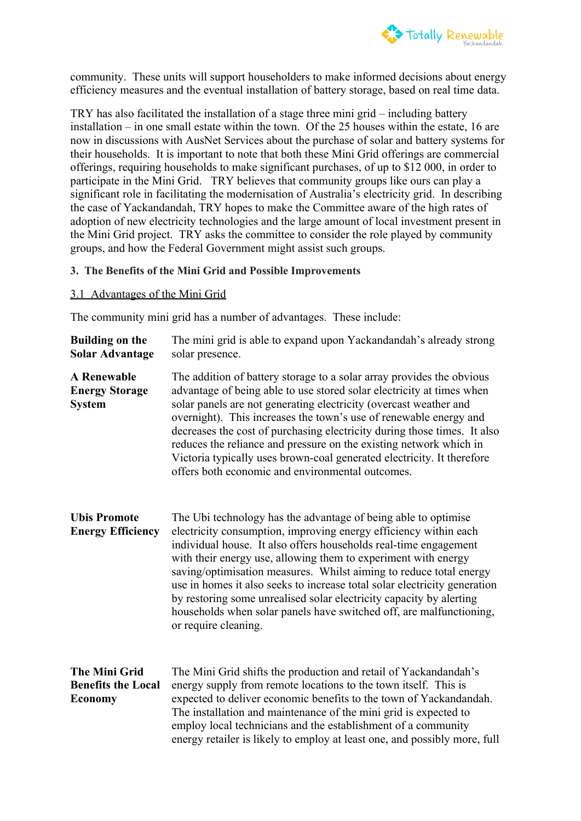

community. These units will support householders to make informed decisions about energy efficiency measures and the eventual installation of battery storage, based on real time data.

TRY has also facilitated the installation of a stage three mini grid – including battery installation – in one small estate within the town. Of the 25 houses within the estate, 16 are now in discussions with AusNet Services about the purchase of solar and battery systems for their households. It is important to note that both these Mini Grid offerings are commercial offerings, requiring households to make significant purchases, of up to \$12 000, in order to participate in the Mini Grid. TRY believes that community groups like ours can play a significant role in facilitating the modernisation of Australia's electricity grid. In describing the case of Yackandandah, TRY hopes to make the Committee aware of the high rates of adoption of new electricity technologies and the large amount of local investment present in the Mini Grid project. TRY asks the committee to consider the role played by community groups, and how the Federal Government might assist such groups.

#### **3. The Benefits of the Mini Grid and Possible Improvements**

#### 3.1 Advantages of the Mini Grid

The community mini grid has a number of advantages. These include:

- **Building on the Solar Advantage** The mini grid is able to expand upon Yackandandah's already strong solar presence. **A Renewable**  The addition of battery storage to a solar array provides the obvious
- **Energy Storage System** advantage of being able to use stored solar electricity at times when solar panels are not generating electricity (overcast weather and overnight). This increases the town's use of renewable energy and decreases the cost of purchasing electricity during those times. It also reduces the reliance and pressure on the existing network which in Victoria typically uses brown-coal generated electricity. It therefore offers both economic and environmental outcomes.
- **Ubis Promote Energy Efficiency** The Ubi technology has the advantage of being able to optimise electricity consumption, improving energy efficiency within each individual house. It also offers households real-time engagement with their energy use, allowing them to experiment with energy saving/optimisation measures. Whilst aiming to reduce total energy use in homes it also seeks to increase total solar electricity generation by restoring some unrealised solar electricity capacity by alerting households when solar panels have switched off, are malfunctioning, or require cleaning.
- **The Mini Grid Benefits the Local Economy** The Mini Grid shifts the production and retail of Yackandandah's energy supply from remote locations to the town itself. This is expected to deliver economic benefits to the town of Yackandandah. The installation and maintenance of the mini grid is expected to employ local technicians and the establishment of a community energy retailer is likely to employ at least one, and possibly more, full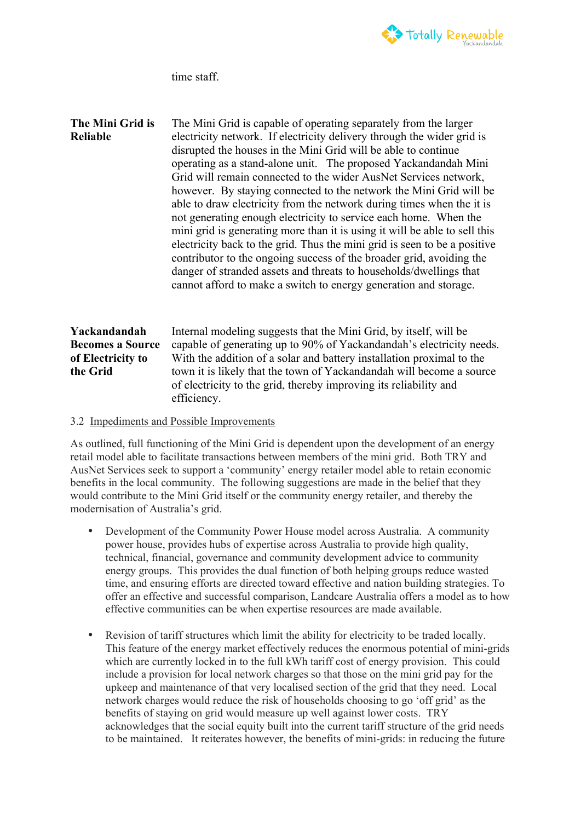

time staff.

**The Mini Grid is Reliable** The Mini Grid is capable of operating separately from the larger electricity network. If electricity delivery through the wider grid is disrupted the houses in the Mini Grid will be able to continue operating as a stand-alone unit. The proposed Yackandandah Mini Grid will remain connected to the wider AusNet Services network, however. By staying connected to the network the Mini Grid will be able to draw electricity from the network during times when the it is not generating enough electricity to service each home. When the mini grid is generating more than it is using it will be able to sell this electricity back to the grid. Thus the mini grid is seen to be a positive contributor to the ongoing success of the broader grid, avoiding the danger of stranded assets and threats to households/dwellings that cannot afford to make a switch to energy generation and storage. **Yackandandah Becomes a Source of Electricity to the Grid** Internal modeling suggests that the Mini Grid, by itself, will be capable of generating up to 90% of Yackandandah's electricity needs. With the addition of a solar and battery installation proximal to the town it is likely that the town of Yackandandah will become a source of electricity to the grid, thereby improving its reliability and efficiency.

#### 3.2 Impediments and Possible Improvements

As outlined, full functioning of the Mini Grid is dependent upon the development of an energy retail model able to facilitate transactions between members of the mini grid. Both TRY and AusNet Services seek to support a 'community' energy retailer model able to retain economic benefits in the local community. The following suggestions are made in the belief that they would contribute to the Mini Grid itself or the community energy retailer, and thereby the modernisation of Australia's grid.

- Development of the Community Power House model across Australia. A community power house, provides hubs of expertise across Australia to provide high quality, technical, financial, governance and community development advice to community energy groups. This provides the dual function of both helping groups reduce wasted time, and ensuring efforts are directed toward effective and nation building strategies. To offer an effective and successful comparison, Landcare Australia offers a model as to how effective communities can be when expertise resources are made available.
- Revision of tariff structures which limit the ability for electricity to be traded locally. This feature of the energy market effectively reduces the enormous potential of mini-grids which are currently locked in to the full kWh tariff cost of energy provision. This could include a provision for local network charges so that those on the mini grid pay for the upkeep and maintenance of that very localised section of the grid that they need. Local network charges would reduce the risk of households choosing to go 'off grid' as the benefits of staying on grid would measure up well against lower costs. TRY acknowledges that the social equity built into the current tariff structure of the grid needs to be maintained. It reiterates however, the benefits of mini-grids: in reducing the future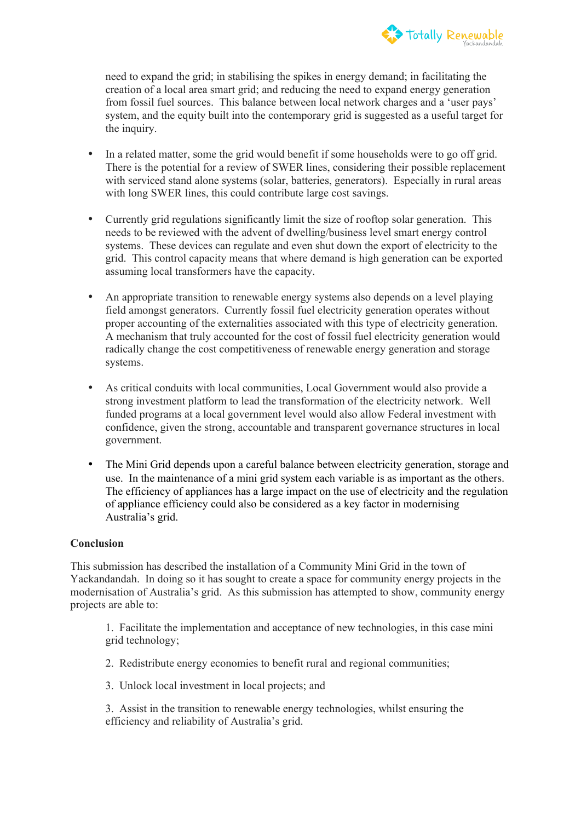

need to expand the grid; in stabilising the spikes in energy demand; in facilitating the creation of a local area smart grid; and reducing the need to expand energy generation from fossil fuel sources. This balance between local network charges and a 'user pays' system, and the equity built into the contemporary grid is suggested as a useful target for the inquiry.

- In a related matter, some the grid would benefit if some households were to go off grid. There is the potential for a review of SWER lines, considering their possible replacement with serviced stand alone systems (solar, batteries, generators). Especially in rural areas with long SWER lines, this could contribute large cost savings.
- Currently grid regulations significantly limit the size of rooftop solar generation. This needs to be reviewed with the advent of dwelling/business level smart energy control systems. These devices can regulate and even shut down the export of electricity to the grid. This control capacity means that where demand is high generation can be exported assuming local transformers have the capacity.
- An appropriate transition to renewable energy systems also depends on a level playing field amongst generators. Currently fossil fuel electricity generation operates without proper accounting of the externalities associated with this type of electricity generation. A mechanism that truly accounted for the cost of fossil fuel electricity generation would radically change the cost competitiveness of renewable energy generation and storage systems.
- As critical conduits with local communities, Local Government would also provide a strong investment platform to lead the transformation of the electricity network. Well funded programs at a local government level would also allow Federal investment with confidence, given the strong, accountable and transparent governance structures in local government.
- The Mini Grid depends upon a careful balance between electricity generation, storage and use. In the maintenance of a mini grid system each variable is as important as the others. The efficiency of appliances has a large impact on the use of electricity and the regulation of appliance efficiency could also be considered as a key factor in modernising Australia's grid.

#### **Conclusion**

This submission has described the installation of a Community Mini Grid in the town of Yackandandah. In doing so it has sought to create a space for community energy projects in the modernisation of Australia's grid. As this submission has attempted to show, community energy projects are able to:

1. Facilitate the implementation and acceptance of new technologies, in this case mini grid technology;

- 2. Redistribute energy economies to benefit rural and regional communities;
- 3. Unlock local investment in local projects; and
- 3. Assist in the transition to renewable energy technologies, whilst ensuring the efficiency and reliability of Australia's grid.